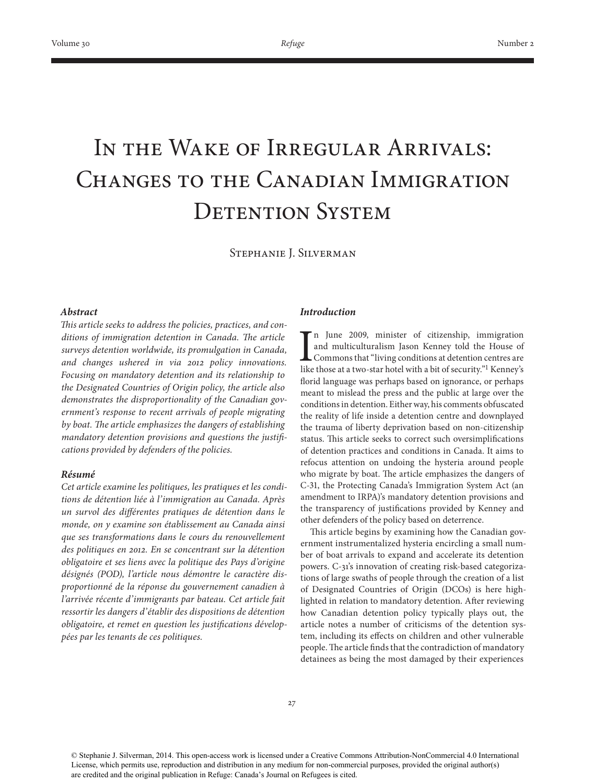# In the Wake of Irregular Arrivals: Changes to the Canadian Immigration DETENTION SYSTEM

Stephanie J. Silverman

# *Abstract*

This article seeks to address the policies, practices, and conditions of immigration detention in Canada. The article *surveys detention worldwide, its promulgation in Canada, and changes ushered in via 2012 policy innovations. Focusing on mandatory detention and its relationship to the Designated Countries of Origin policy, the article also demonstrates the disproportionality of the Canadian government's response to recent arrivals of people migrating*  by boat. The article emphasizes the dangers of establishing *mandatory detention provisions and questions the justifi cations provided by defenders of the policies.*

# *Résumé*

*Cet article examine les politiques, les pratiques et les conditions de détention liée à l'immigration au Canada. Après un survol des différentes pratiques de détention dans le monde, on y examine son établissement au Canada ainsi que ses transformations dans le cours du renouvellement des politiques en 2012. En se concentrant sur la détention obligatoire et ses liens avec la politique des Pays d'origine désignés (POD), l'article nous démontre le caractère disproportionné de la réponse du gouvernement canadien à l'arrivée récente d'immigrants par bateau. Cet article fait ressortir les dangers d'établir des dispositions de détention*  obligatoire, et remet en question les justifications dévelop*pées par les tenants de ces politiques.* 

# *Introduction*

I n June 2009, minister of citizenship, immigration and multiculturalism Jason Kenney told the House of Commons that "living conditions at detention centres are like those at a two-star hotel with a bit of security."1 Kenney's florid language was perhaps based on ignorance, or perhaps meant to mislead the press and the public at large over the conditions in detention. Either way, his comments obfuscated the reality of life inside a detention centre and downplayed the trauma of liberty deprivation based on non-citizenship status. This article seeks to correct such oversimplifications of detention practices and conditions in Canada. It aims to refocus attention on undoing the hysteria around people who migrate by boat. The article emphasizes the dangers of C-31, the Protecting Canada's Immigration System Act (an amendment to IRPA)'s mandatory detention provisions and the transparency of justifications provided by Kenney and other defenders of the policy based on deterrence.

This article begins by examining how the Canadian government instrumentalized hysteria encircling a small number of boat arrivals to expand and accelerate its detention powers. C-31's innovation of creating risk-based categorizations of large swaths of people through the creation of a list of Designated Countries of Origin (DCOs) is here highlighted in relation to mandatory detention. After reviewing how Canadian detention policy typically plays out, the article notes a number of criticisms of the detention system, including its effects on children and other vulnerable people. The article finds that the contradiction of mandatory detainees as being the most damaged by their experiences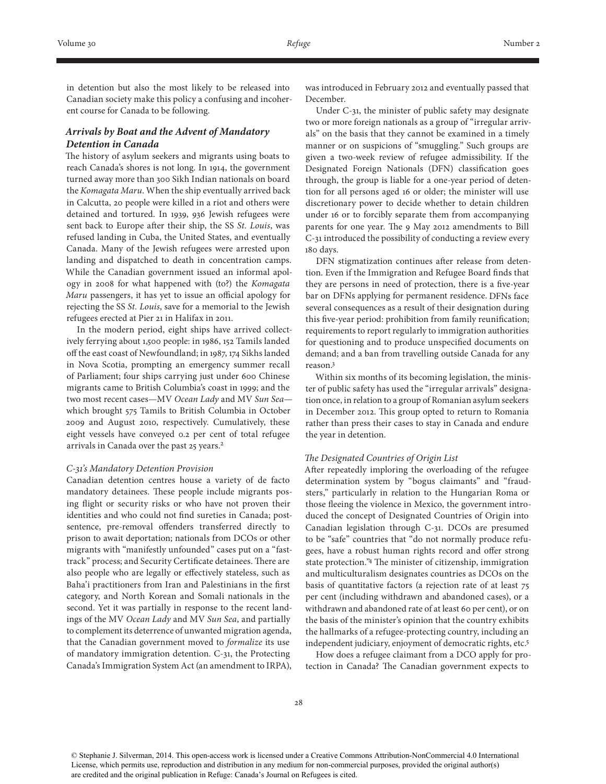in detention but also the most likely to be released into Canadian society make this policy a confusing and incoherent course for Canada to be following.

# *Arrivals by Boat and the Advent of Mandatory Detention in Canada*

The history of asylum seekers and migrants using boats to reach Canada's shores is not long. In 1914, the government turned away more than 300 Sikh Indian nationals on board the *Komagata Maru*. When the ship eventually arrived back in Calcutta, 20 people were killed in a riot and others were detained and tortured. In 1939, 936 Jewish refugees were sent back to Europe after their ship, the SS *St. Louis*, was refused landing in Cuba, the United States, and eventually Canada. Many of the Jewish refugees were arrested upon landing and dispatched to death in concentration camps. While the Canadian government issued an informal apology in 2008 for what happened with (to?) the *Komagata Maru* passengers, it has yet to issue an official apology for rejecting the SS *St. Louis*, save for a memorial to the Jewish refugees erected at Pier 21 in Halifax in 2011.

In the modern period, eight ships have arrived collectively ferrying about 1,500 people: in 1986, 152 Tamils landed off the east coast of Newfoundland; in 1987, 174 Sikhs landed in Nova Scotia, prompting an emergency summer recall of Parliament; four ships carrying just under 600 Chinese migrants came to British Columbia's coast in 1999; and the two most recent cases—MV *Ocean Lady* and MV *Sun Sea* which brought 575 Tamils to British Columbia in October 2009 and August 2010, respectively. Cumulatively, these eight vessels have conveyed 0.2 per cent of total refugee arrivals in Canada over the past 25 years.<sup>2</sup>

### *C-31's Mandatory Detention Provision*

Canadian detention centres house a variety of de facto mandatory detainees. These people include migrants posing flight or security risks or who have not proven their identities and who could not find sureties in Canada; postsentence, pre-removal offenders transferred directly to prison to await deportation; nationals from DCOs or other migrants with "manifestly unfounded" cases put on a "fasttrack" process; and Security Certificate detainees. There are also people who are legally or effectively stateless, such as Baha'i practitioners from Iran and Palestinians in the first category, and North Korean and Somali nationals in the second. Yet it was partially in response to the recent landings of the MV *Ocean Lady* and MV *Sun Sea*, and partially to complement its deterrence of unwanted migration agenda, that the Canadian government moved to *formalize* its use of mandatory immigration detention. C-31, the Protecting Canada's Immigration System Act (an amendment to IRPA),

was introduced in February 2012 and eventually passed that December.

Under C-31, the minister of public safety may designate two or more foreign nationals as a group of "irregular arrivals" on the basis that they cannot be examined in a timely manner or on suspicions of "smuggling." Such groups are given a two-week review of refugee admissibility. If the Designated Foreign Nationals (DFN) classification goes through, the group is liable for a one-year period of detention for all persons aged 16 or older; the minister will use discretionary power to decide whether to detain children under 16 or to forcibly separate them from accompanying parents for one year. The 9 May 2012 amendments to Bill C-31 introduced the possibility of conducting a review every 180 days.

DFN stigmatization continues after release from detention. Even if the Immigration and Refugee Board finds that they are persons in need of protection, there is a five-year bar on DFNs applying for permanent residence. DFNs face several consequences as a result of their designation during this five-year period: prohibition from family reunification; requirements to report regularly to immigration authorities for questioning and to produce unspecified documents on demand; and a ban from travelling outside Canada for any reason.3

Within six months of its becoming legislation, the minister of public safety has used the "irregular arrivals" designation once, in relation to a group of Romanian asylum seekers in December 2012. This group opted to return to Romania rather than press their cases to stay in Canada and endure the year in detention.

### *The Designated Countries of Origin List*

After repeatedly imploring the overloading of the refugee determination system by "bogus claimants" and "fraudsters," particularly in relation to the Hungarian Roma or those fleeing the violence in Mexico, the government introduced the concept of Designated Countries of Origin into Canadian legislation through C-31. DCOs are presumed to be "safe" countries that "do not normally produce refugees, have a robust human rights record and offer strong state protection."4 The minister of citizenship, immigration and multiculturalism designates countries as DCOs on the basis of quantitative factors (a rejection rate of at least 75 per cent (including withdrawn and abandoned cases), or a withdrawn and abandoned rate of at least 60 per cent), or on the basis of the minister's opinion that the country exhibits the hallmarks of a refugee-protecting country, including an independent judiciary, enjoyment of democratic rights, etc.5

How does a refugee claimant from a DCO apply for protection in Canada? The Canadian government expects to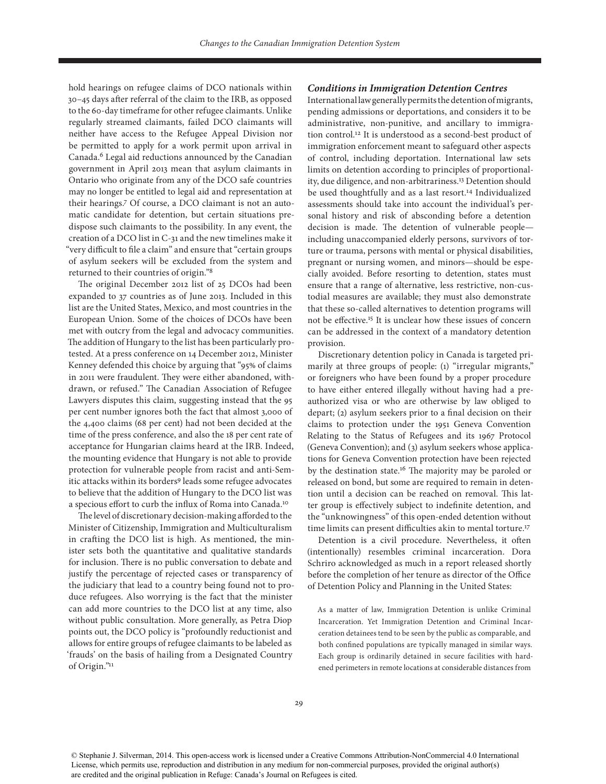hold hearings on refugee claims of DCO nationals within 30–45 days after referral of the claim to the IRB, as opposed to the 60-day timeframe for other refugee claimants. Unlike regularly streamed claimants, failed DCO claimants will neither have access to the Refugee Appeal Division nor be permitted to apply for a work permit upon arrival in Canada.6 Legal aid reductions announced by the Canadian government in April 2013 mean that asylum claimants in Ontario who originate from any of the DCO safe countries may no longer be entitled to legal aid and representation at their hearings.7 Of course, a DCO claimant is not an automatic candidate for detention, but certain situations predispose such claimants to the possibility. In any event, the creation of a DCO list in C-31 and the new timelines make it "very difficult to file a claim" and ensure that "certain groups of asylum seekers will be excluded from the system and returned to their countries of origin."8

The original December 2012 list of 25 DCOs had been expanded to 37 countries as of June 2013. Included in this list are the United States, Mexico, and most countries in the European Union. Some of the choices of DCOs have been met with outcry from the legal and advocacy communities. The addition of Hungary to the list has been particularly protested. At a press conference on 14 December 2012, Minister Kenney defended this choice by arguing that "95% of claims in 2011 were fraudulent. They were either abandoned, withdrawn, or refused." The Canadian Association of Refugee Lawyers disputes this claim, suggesting instead that the 95 per cent number ignores both the fact that almost 3,000 of the 4,400 claims (68 per cent) had not been decided at the time of the press conference, and also the 18 per cent rate of acceptance for Hungarian claims heard at the IRB. Indeed, the mounting evidence that Hungary is not able to provide protection for vulnerable people from racist and anti-Semitic attacks within its borders<sup>9</sup> leads some refugee advocates to believe that the addition of Hungary to the DCO list was a specious effort to curb the influx of Roma into Canada.10

The level of discretionary decision-making afforded to the Minister of Citizenship, Immigration and Multiculturalism in crafting the DCO list is high. As mentioned, the minister sets both the quantitative and qualitative standards for inclusion. There is no public conversation to debate and justify the percentage of rejected cases or transparency of the judiciary that lead to a country being found not to produce refugees. Also worrying is the fact that the minister can add more countries to the DCO list at any time, also without public consultation. More generally, as Petra Diop points out, the DCO policy is "profoundly reductionist and allows for entire groups of refugee claimants to be labeled as 'frauds' on the basis of hailing from a Designated Country of Origin."11

## *Conditions in Immigration Detention Centres*

International law generally permits the detention of migrants, pending admissions or deportations, and considers it to be administrative, non-punitive, and ancillary to immigration control.12 It is understood as a second-best product of immigration enforcement meant to safeguard other aspects of control, including deportation. International law sets limits on detention according to principles of proportionality, due diligence, and non-arbitrariness.13 Detention should be used thoughtfully and as a last resort.<sup>14</sup> Individualized assessments should take into account the individual's personal history and risk of absconding before a detention decision is made. The detention of vulnerable people including unaccompanied elderly persons, survivors of torture or trauma, persons with mental or physical disabilities, pregnant or nursing women, and minors—should be especially avoided. Before resorting to detention, states must ensure that a range of alternative, less restrictive, non-custodial measures are available; they must also demonstrate that these so-called alternatives to detention programs will not be effective.15 It is unclear how these issues of concern can be addressed in the context of a mandatory detention provision.

Discretionary detention policy in Canada is targeted primarily at three groups of people: (1) "irregular migrants," or foreigners who have been found by a proper procedure to have either entered illegally without having had a preauthorized visa or who are otherwise by law obliged to depart; (2) asylum seekers prior to a final decision on their claims to protection under the 1951 Geneva Convention Relating to the Status of Refugees and its 1967 Protocol (Geneva Convention); and (3) asylum seekers whose applications for Geneva Convention protection have been rejected by the destination state.16 The majority may be paroled or released on bond, but some are required to remain in detention until a decision can be reached on removal. This latter group is effectively subject to indefinite detention, and the "unknowingness" of this open-ended detention without time limits can present difficulties akin to mental torture.17

Detention is a civil procedure. Nevertheless, it often (intentionally) resembles criminal incarceration. Dora Schriro acknowledged as much in a report released shortly before the completion of her tenure as director of the Office of Detention Policy and Planning in the United States:

As a matter of law, Immigration Detention is unlike Criminal Incarceration. Yet Immigration Detention and Criminal Incarceration detainees tend to be seen by the public as comparable, and both confined populations are typically managed in similar ways. Each group is ordinarily detained in secure facilities with hardened perimeters in remote locations at considerable distances from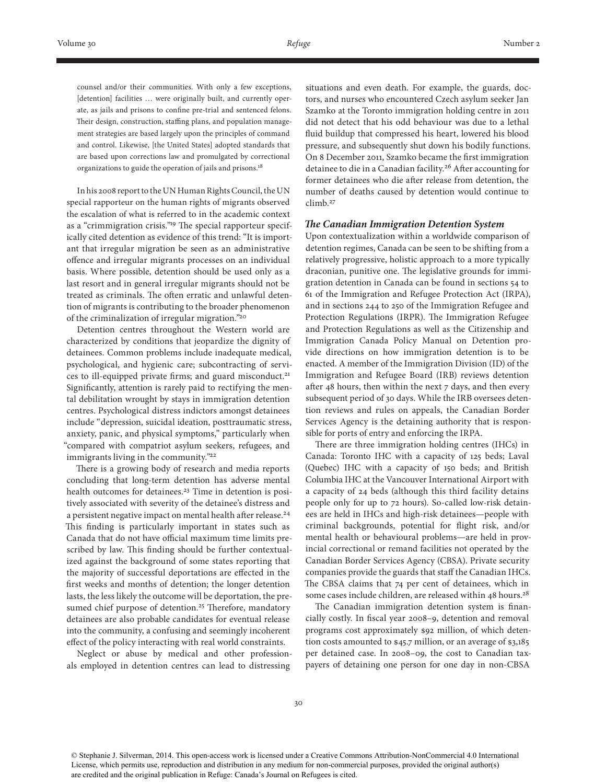counsel and/or their communities. With only a few exceptions, [detention] facilities ... were originally built, and currently operate, as jails and prisons to confine pre-trial and sentenced felons. Their design, construction, staffing plans, and population management strategies are based largely upon the principles of command and control. Likewise, [the United States] adopted standards that are based upon corrections law and promulgated by correctional organizations to guide the operation of jails and prisons.<sup>18</sup>

In his 2008 report to the UN Human Rights Council, the UN special rapporteur on the human rights of migrants observed the escalation of what is referred to in the academic context as a "crimmigration crisis."<sup>19</sup> The special rapporteur specifically cited detention as evidence of this trend: "It is important that irregular migration be seen as an administrative offence and irregular migrants processes on an individual basis. Where possible, detention should be used only as a last resort and in general irregular migrants should not be treated as criminals. The often erratic and unlawful detention of migrants is contributing to the broader phenomenon of the criminalization of irregular migration."20

Detention centres throughout the Western world are characterized by conditions that jeopardize the dignity of detainees. Common problems include inadequate medical, psychological, and hygienic care; subcontracting of services to ill-equipped private firms; and guard misconduct.<sup>21</sup> Significantly, attention is rarely paid to rectifying the mental debilitation wrought by stays in immigration detention centres. Psychological distress indictors amongst detainees include "depression, suicidal ideation, posttraumatic stress, anxiety, panic, and physical symptoms," particularly when "compared with compatriot asylum seekers, refugees, and immigrants living in the community."<sup>22</sup>

There is a growing body of research and media reports concluding that long-term detention has adverse mental health outcomes for detainees.<sup>23</sup> Time in detention is positively associated with severity of the detainee's distress and a persistent negative impact on mental health after release.<sup>24</sup> This finding is particularly important in states such as Canada that do not have official maximum time limits prescribed by law. This finding should be further contextualized against the background of some states reporting that the majority of successful deportations are effected in the first weeks and months of detention; the longer detention lasts, the less likely the outcome will be deportation, the presumed chief purpose of detention.<sup>25</sup> Therefore, mandatory detainees are also probable candidates for eventual release into the community, a confusing and seemingly incoherent effect of the policy interacting with real world constraints.

Neglect or abuse by medical and other professionals employed in detention centres can lead to distressing

situations and even death. For example, the guards, doctors, and nurses who encountered Czech asylum seeker Jan Szamko at the Toronto immigration holding centre in 2011 did not detect that his odd behaviour was due to a lethal fluid buildup that compressed his heart, lowered his blood pressure, and subsequently shut down his bodily functions. On 8 December 2011, Szamko became the first immigration detainee to die in a Canadian facility.26 After accounting for former detainees who die after release from detention, the number of deaths caused by detention would continue to climb.27

#### *The Canadian Immigration Detention System*

Upon contextualization within a worldwide comparison of detention regimes, Canada can be seen to be shifting from a relatively progressive, holistic approach to a more typically draconian, punitive one. The legislative grounds for immigration detention in Canada can be found in sections 54 to 61 of the Immigration and Refugee Protection Act (IRPA), and in sections 244 to 250 of the Immigration Refugee and Protection Regulations (IRPR). The Immigration Refugee and Protection Regulations as well as the Citizenship and Immigration Canada Policy Manual on Detention provide directions on how immigration detention is to be enacted. A member of the Immigration Division (ID) of the Immigration and Refugee Board (IRB) reviews detention after 48 hours, then within the next  $7$  days, and then every subsequent period of 30 days. While the IRB oversees detention reviews and rules on appeals, the Canadian Border Services Agency is the detaining authority that is responsible for ports of entry and enforcing the IRPA.

There are three immigration holding centres (IHCs) in Canada: Toronto IHC with a capacity of 125 beds; Laval (Quebec) IHC with a capacity of 150 beds; and British Columbia IHC at the Vancouver International Airport with a capacity of 24 beds (although this third facility detains people only for up to 72 hours). So-called low-risk detainees are held in IHCs and high-risk detainees—people with criminal backgrounds, potential for flight risk, and/or mental health or behavioural problems—are held in provincial correctional or remand facilities not operated by the Canadian Border Services Agency (CBSA). Private security companies provide the guards that staff the Canadian IHCs. The CBSA claims that 74 per cent of detainees, which in some cases include children, are released within 48 hours.<sup>28</sup>

The Canadian immigration detention system is financially costly. In fiscal year 2008–9, detention and removal programs cost approximately \$92 million, of which detention costs amounted to \$45.7 million, or an average of \$3,185 per detained case. In 2008–09, the cost to Canadian taxpayers of detaining one person for one day in non-CBSA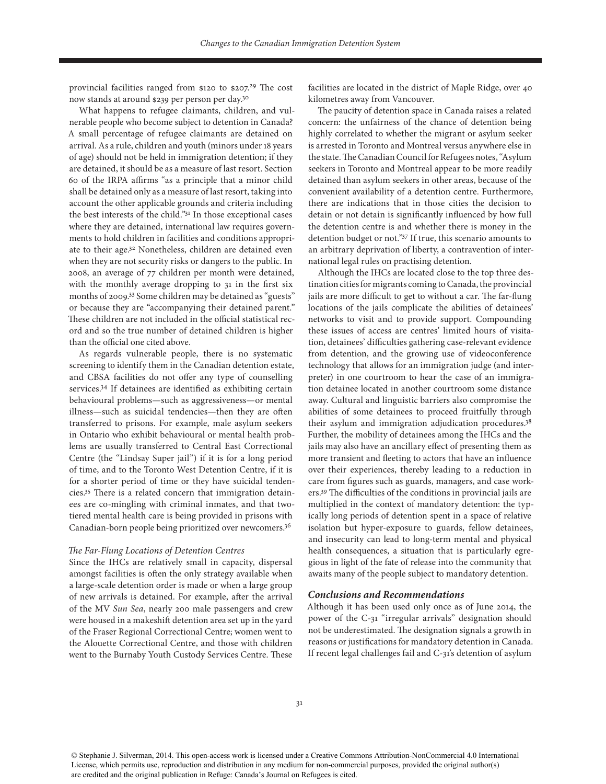provincial facilities ranged from \$120 to \$207.<sup>29</sup> The cost now stands at around \$239 per person per day.30

What happens to refugee claimants, children, and vulnerable people who become subject to detention in Canada? A small percentage of refugee claimants are detained on arrival. As a rule, children and youth (minors under 18 years of age) should not be held in immigration detention; if they are detained, it should be as a measure of last resort. Section 60 of the IRPA affirms "as a principle that a minor child shall be detained only as a measure of last resort, taking into account the other applicable grounds and criteria including the best interests of the child."31 In those exceptional cases where they are detained, international law requires governments to hold children in facilities and conditions appropriate to their age.32 Nonetheless, children are detained even when they are not security risks or dangers to the public. In 2008, an average of 77 children per month were detained, with the monthly average dropping to 31 in the first six months of 2009.33 Some children may be detained as "guests" or because they are "accompanying their detained parent." These children are not included in the official statistical record and so the true number of detained children is higher than the official one cited above.

As regards vulnerable people, there is no systematic screening to identify them in the Canadian detention estate, and CBSA facilities do not offer any type of counselling services.34 If detainees are identified as exhibiting certain behavioural problems—such as aggressiveness—or mental illness—such as suicidal tendencies—then they are often transferred to prisons. For example, male asylum seekers in Ontario who exhibit behavioural or mental health problems are usually transferred to Central East Correctional Centre (the "Lindsay Super jail") if it is for a long period of time, and to the Toronto West Detention Centre, if it is for a shorter period of time or they have suicidal tendencies.35 There is a related concern that immigration detainees are co-mingling with criminal inmates, and that twotiered mental health care is being provided in prisons with Canadian-born people being prioritized over newcomers.36

#### *The Far-Flung Locations of Detention Centres*

Since the IHCs are relatively small in capacity, dispersal amongst facilities is often the only strategy available when a large-scale detention order is made or when a large group of new arrivals is detained. For example, after the arrival of the MV *Sun Sea*, nearly 200 male passengers and crew were housed in a makeshift detention area set up in the yard of the Fraser Regional Correctional Centre; women went to the Alouette Correctional Centre, and those with children went to the Burnaby Youth Custody Services Centre. These

facilities are located in the district of Maple Ridge, over 40 kilometres away from Vancouver.

The paucity of detention space in Canada raises a related concern: the unfairness of the chance of detention being highly correlated to whether the migrant or asylum seeker is arrested in Toronto and Montreal versus anywhere else in the state. The Canadian Council for Refugees notes, "Asylum seekers in Toronto and Montreal appear to be more readily detained than asylum seekers in other areas, because of the convenient availability of a detention centre. Furthermore, there are indications that in those cities the decision to detain or not detain is significantly influenced by how full the detention centre is and whether there is money in the detention budget or not."37 If true, this scenario amounts to an arbitrary deprivation of liberty, a contravention of international legal rules on practising detention.

Although the IHCs are located close to the top three destination cities for migrants coming to Canada, the provincial jails are more difficult to get to without a car. The far-flung locations of the jails complicate the abilities of detainees' networks to visit and to provide support. Compounding these issues of access are centres' limited hours of visitation, detainees' difficulties gathering case-relevant evidence from detention, and the growing use of videoconference technology that allows for an immigration judge (and interpreter) in one courtroom to hear the case of an immigration detainee located in another courtroom some distance away. Cultural and linguistic barriers also compromise the abilities of some detainees to proceed fruitfully through their asylum and immigration adjudication procedures.<sup>38</sup> Further, the mobility of detainees among the IHCs and the jails may also have an ancillary effect of presenting them as more transient and fleeting to actors that have an influence over their experiences, thereby leading to a reduction in care from figures such as guards, managers, and case workers.39 The difficulties of the conditions in provincial jails are multiplied in the context of mandatory detention: the typically long periods of detention spent in a space of relative isolation but hyper-exposure to guards, fellow detainees, and insecurity can lead to long-term mental and physical health consequences, a situation that is particularly egregious in light of the fate of release into the community that awaits many of the people subject to mandatory detention.

### *Conclusions and Recommendations*

Although it has been used only once as of June 2014, the power of the C-31 "irregular arrivals" designation should not be underestimated. The designation signals a growth in reasons or justifications for mandatory detention in Canada. If recent legal challenges fail and C-31's detention of asylum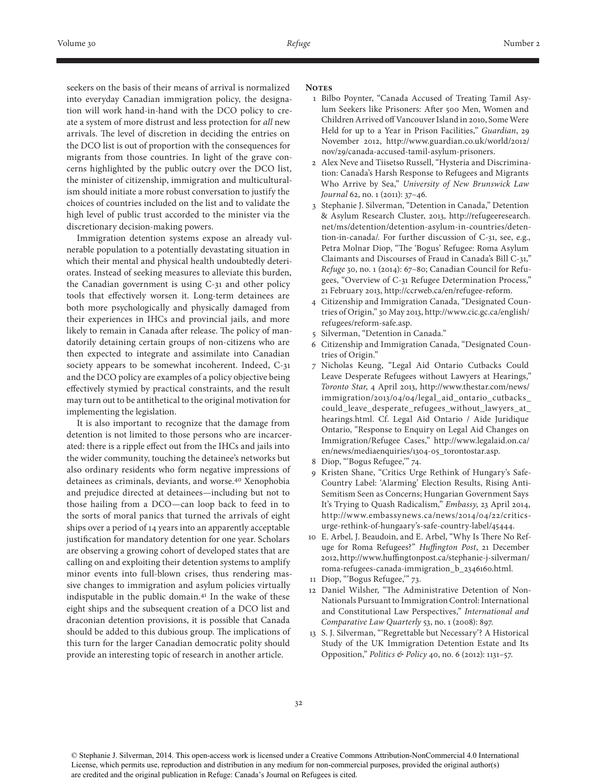seekers on the basis of their means of arrival is normalized into everyday Canadian immigration policy, the designation will work hand-in-hand with the DCO policy to create a system of more distrust and less protection for *all* new arrivals. The level of discretion in deciding the entries on the DCO list is out of proportion with the consequences for migrants from those countries. In light of the grave concerns highlighted by the public outcry over the DCO list, the minister of citizenship, immigration and multiculturalism should initiate a more robust conversation to justify the choices of countries included on the list and to validate the high level of public trust accorded to the minister via the discretionary decision-making powers.

Immigration detention systems expose an already vulnerable population to a potentially devastating situation in which their mental and physical health undoubtedly deteriorates. Instead of seeking measures to alleviate this burden, the Canadian government is using C-31 and other policy tools that effectively worsen it. Long-term detainees are both more psychologically and physically damaged from their experiences in IHCs and provincial jails, and more likely to remain in Canada after release. The policy of mandatorily detaining certain groups of non-citizens who are then expected to integrate and assimilate into Canadian society appears to be somewhat incoherent. Indeed, C-31 and the DCO policy are examples of a policy objective being effectively stymied by practical constraints, and the result may turn out to be antithetical to the original motivation for implementing the legislation.

It is also important to recognize that the damage from detention is not limited to those persons who are incarcerated: there is a ripple effect out from the IHCs and jails into the wider community, touching the detainee's networks but also ordinary residents who form negative impressions of detainees as criminals, deviants, and worse.40 Xenophobia and prejudice directed at detainees—including but not to those hailing from a DCO—can loop back to feed in to the sorts of moral panics that turned the arrivals of eight ships over a period of 14 years into an apparently acceptable justification for mandatory detention for one year. Scholars are observing a growing cohort of developed states that are calling on and exploiting their detention systems to amplify minor events into full-blown crises, thus rendering massive changes to immigration and asylum policies virtually indisputable in the public domain.41 In the wake of these eight ships and the subsequent creation of a DCO list and draconian detention provisions, it is possible that Canada should be added to this dubious group. The implications of this turn for the larger Canadian democratic polity should provide an interesting topic of research in another article.

#### Notes

- 1 Bilbo Poynter, "Canada Accused of Treating Tamil Asylum Seekers like Prisoners: After 500 Men, Women and Children Arrived off Vancouver Island in 2010, Some Were Held for up to a Year in Prison Facilities," *Guardian*, 29 November 2012, http://www.guardian.co.uk/world/2012/ nov/29/canada-accused-tamil-asylum-prisoners.
- 2 Alex Neve and Tiisetso Russell, "Hysteria and Discrimination: Canada's Harsh Response to Refugees and Migrants Who Arrive by Sea," *University of New Brunswick Law Journal* 62, no. 1 (2011): 37–46.
- 3 Stephanie J. Silverman, "Detention in Canada," Detention & Asylum Research Cluster, 2013, http://refugeeresearch. net/ms/detention/detention-asylum-in-countries/detention-in-canada/*.* For further discussion of C-31, see, e.g., Petra Molnar Diop, "The 'Bogus' Refugee: Roma Asylum Claimants and Discourses of Fraud in Canada's Bill C-31," *Refuge* 30, no. 1 (2014): 67–80; Canadian Council for Refugees, "Overview of C-31 Refugee Determination Process," 21 February 2013, http://ccrweb.ca/en/refugee-reform.
- 4 Citizenship and Immigration Canada, "Designated Countries of Origin," 30 May 2013, http://www.cic.gc.ca/english/ refugees/reform-safe.asp.
- 5 Silverman, "Detention in Canada."
- 6 Citizenship and Immigration Canada, "Designated Countries of Origin."
- 7 Nicholas Keung, "Legal Aid Ontario Cutbacks Could Leave Desperate Refugees without Lawyers at Hearings," *Toronto Star*, 4 April 2013, http://www.thestar.com/news/ immigration/2013/04/04/legal\_aid\_ontario\_cutbacks\_ could\_leave\_desperate\_refugees\_without\_lawyers\_at\_ hearings.html. Cf. Legal Aid Ontario / Aide Juridique Ontario, "Response to Enquiry on Legal Aid Changes on Immigration/Refugee Cases," http://www.legalaid.on.ca/ en/news/mediaenquiries/1304-05\_torontostar.asp.
- 8 Diop, "'Bogus Refugee,'" 74.
- 9 Kristen Shane, "Critics Urge Rethink of Hungary's Safe-Country Label: 'Alarming' Election Results, Rising Anti-Semitism Seen as Concerns; Hungarian Government Says It's Trying to Quash Radicalism," *Embassy*, 23 April 2014, http://www.embassynews.ca/news/2014/04/22/criticsurge-rethink-of-hungaary's-safe-country-label/45444.
- 10 E. Arbel, J. Beaudoin, and E. Arbel, "Why Is There No Refuge for Roma Refugees?" *Huffington Post*, 21 December 2012, http://www.huffingtonpost.ca/stephanie-j-silverman/ roma-refugees-canada-immigration\_b\_2346160.html.
- 11 Diop, "'Bogus Refugee,'" 73.
- 12 Daniel Wilsher, "The Administrative Detention of Non-Nationals Pursuant to Immigration Control: International and Constitutional Law Perspectives," *International and Comparative Law Quarterly* 53, no. 1 (2008): 897.
- 13 S. J. Silverman, "'Regrettable but Necessary'? A Historical Study of the UK Immigration Detention Estate and Its Opposition," *Politics & Policy* 40, no. 6 (2012): 1131–57.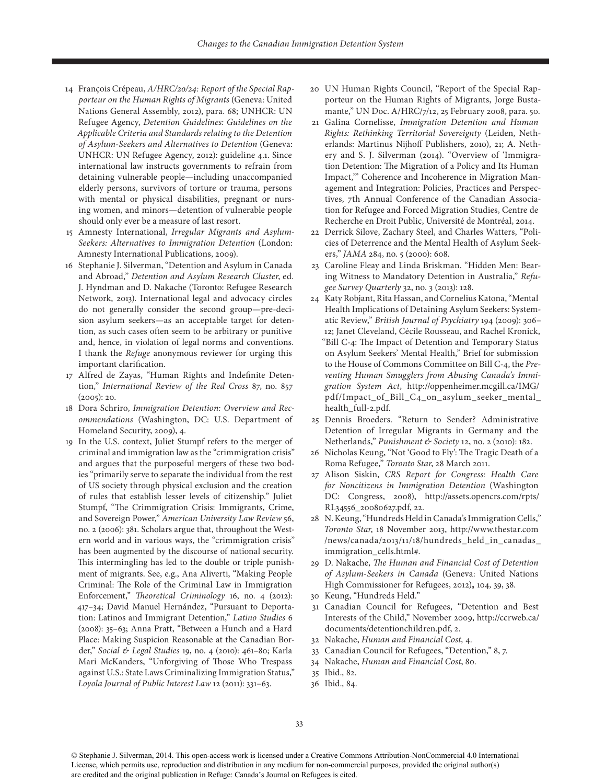- 14 François Crépeau, *A/HRC/20/24: Report of the Special Rapporteur on the Human Rights of Migrants* (Geneva: United Nations General Assembly, 2012), para. 68; UNHCR: UN Refugee Agency, *Detention Guidelines: Guidelines on the Applicable Criteria and Standards relating to the Detention of Asylum-Seekers and Alternatives to Detention* (Geneva: UNHCR: UN Refugee Agency, 2012): guideline 4.1. Since international law instructs governments to refrain from detaining vulnerable people—including unaccompanied elderly persons, survivors of torture or trauma, persons with mental or physical disabilities, pregnant or nursing women, and minors—detention of vulnerable people should only ever be a measure of last resort.
- 15 Amnesty International, *Irregular Migrants and Asylum-Seekers: Alternatives to Immigration Detention* (London: Amnesty International Publications, 2009).
- 16 Stephanie J. Silverman, "Detention and Asylum in Canada and Abroad," *Detention and Asylum Research Cluster*, ed. J. Hyndman and D. Nakache (Toronto: Refugee Research Network, 2013). International legal and advocacy circles do not generally consider the second group—pre-decision asylum seekers—as an acceptable target for detention, as such cases often seem to be arbitrary or punitive and, hence, in violation of legal norms and conventions. I thank the *Refuge* anonymous reviewer for urging this important clarification.
- 17 Alfred de Zayas, "Human Rights and Indefinite Detention," *International Review of the Red Cross* 87, no. 857 (2005): 20.
- 18 Dora Schriro, *Immigration Detention: Overview and Recommendations* (Washington, DC: U.S. Department of Homeland Security, 2009), 4.
- 19 In the U.S. context, Juliet Stumpf refers to the merger of criminal and immigration law as the "crimmigration crisis" and argues that the purposeful mergers of these two bodies "primarily serve to separate the individual from the rest of US society through physical exclusion and the creation of rules that establish lesser levels of citizenship." Juliet Stumpf, "The Crimmigration Crisis: Immigrants, Crime, and Sovereign Power," *American University Law Review* 56, no. 2 (2006): 381. Scholars argue that, throughout the Western world and in various ways, the "crimmigration crisis" has been augmented by the discourse of national security. This intermingling has led to the double or triple punishment of migrants. See, e.g., Ana Aliverti, "Making People Criminal: The Role of the Criminal Law in Immigration Enforcement," *Theoretical Criminology* 16, no. 4 (2012): 417–34; David Manuel Hernández, "Pursuant to Deportation: Latinos and Immigrant Detention," *Latino Studies* 6 (2008): 35–63; Anna Pratt, "Between a Hunch and a Hard Place: Making Suspicion Reasonable at the Canadian Border," *Social & Legal Studies* 19, no. 4 (2010): 461–80; Karla Mari McKanders, "Unforgiving of Those Who Trespass against U.S.: State Laws Criminalizing Immigration Status," *Loyola Journal of Public Interest Law* 12 (2011): 331–63.
- 20 UN Human Rights Council, "Report of the Special Rapporteur on the Human Rights of Migrants, Jorge Bustamante," UN Doc. A/HRC/7/12, 25 February 2008, para. 50.
- 21 Galina Cornelisse, *Immigration Detention and Human Rights: Rethinking Territorial Sovereignty* (Leiden, Netherlands: Martinus Nijhoff Publishers, 2010), 21; A. Nethery and S. J. Silverman (2014). "Overview of 'Immigration Detention: The Migration of a Policy and Its Human Impact,'" Coherence and Incoherence in Migration Management and Integration: Policies, Practices and Perspectives, 7th Annual Conference of the Canadian Association for Refugee and Forced Migration Studies, Centre de Recherche en Droit Public, Université de Montréal, 2014*.*
- 22 Derrick Silove, Zachary Steel, and Charles Watters, "Policies of Deterrence and the Mental Health of Asylum Seekers," *JAMA* 284, no. 5 (2000): 608.
- 23 Caroline Fleay and Linda Briskman. "Hidden Men: Bearing Witness to Mandatory Detention in Australia," *Refugee Survey Quarterly* 32, no. 3 (2013): 128.
- 24 Katy Robjant, Rita Hassan, and Cornelius Katona, "Mental Health Implications of Detaining Asylum Seekers: Systematic Review," *British Journal of Psychiatry* 194 (2009): 306– 12; Janet Cleveland, Cécile Rousseau, and Rachel Kronick, "Bill C-4: The Impact of Detention and Temporary Status on Asylum Seekers' Mental Health," Brief for submission to the House of Commons Committee on Bill C-4, the *Preventing Human Smugglers from Abusing Canada's Immigration System Act*, http://oppenheimer.mcgill.ca/IMG/ pdf/Impact\_of\_Bill\_C4\_on\_asylum\_seeker\_mental\_ health\_full-2.pdf.
- 25 Dennis Broeders. "Return to Sender? Administrative Detention of Irregular Migrants in Germany and the Netherlands," *Punishment & Society* 12, no. 2 (2010): 182.
- 26 Nicholas Keung, "Not 'Good to Fly': The Tragic Death of a Roma Refugee," *Toronto Star*, 28 March 2011.
- 27 Alison Siskin, *CRS Report for Congress: Health Care for Noncitizens in Immigration Detention* (Washington DC: Congress, 2008), http://assets.opencrs.com/rpts/ RL34556\_20080627.pdf, 22.
- 28 N. Keung, "Hundreds Held in Canada's Immigration Cells," *Toronto Star*, 18 November 2013, http://www.thestar.com /news/canada/2013/11/18/hundreds\_held\_in\_canadas\_ immigration\_cells.html#.
- 29 D. Nakache, *The Human and Financial Cost of Detention of Asylum-Seekers in Canada* (Geneva: United Nations High Commissioner for Refugees, 2012)**,** 104*,* 39, 38.
- 30 Keung, "Hundreds Held."
- 31 Canadian Council for Refugees, "Detention and Best Interests of the Child," November 2009, http://ccrweb.ca/ documents/detentionchildren.pdf, 2.
- 32 Nakache, *Human and Financial Cost,* 4.
- 33 Canadian Council for Refugees, "Detention," 8, 7.
- 34 Nakache, *Human and Financial Cost*, 80.
- 35 Ibid.*,* 82.
- 36 Ibid.*,* 84.